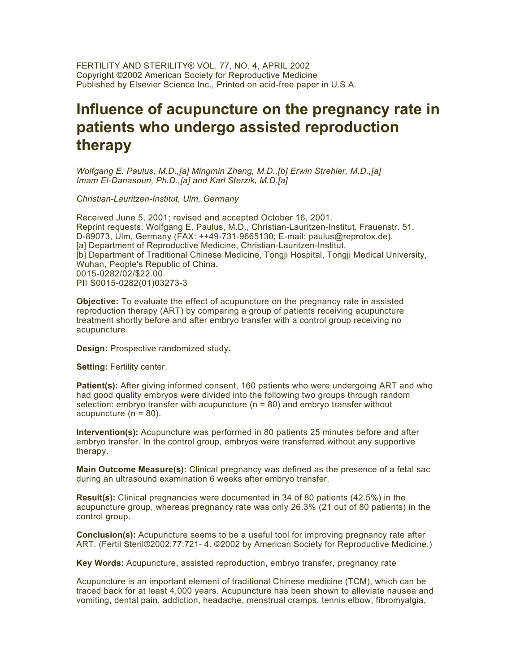FERTILITY AND STERILITY® VOL. 77, NO. 4, APRIL 2002 Copyright ©2002 American Society for Reproductive Medicine Published by Elsevier Science Inc., Printed on acid-free paper in U.S.A.

# **Influence of acupuncture on the pregnancy rate in patients who undergo assisted reproduction therapy**

*Wolfgang E. Paulus, M.D.,[a] Mingmin Zhang, M.D.,[b] Erwin Strehler, M.D.,[a] Imam El-Danasouri, Ph.D.,[a] and Karl Sterzik, M.D.[a]*

*Christian-Lauritzen-Institut, Ulm, Germany*

Received June 5, 2001; revised and accepted October 16, 2001. Reprint requests: Wolfgang E. Paulus, M.D., Christian-Lauritzen-Institut, Frauenstr. 51, D-89073, Ulm, Germany (FAX: ++49-731-9665130; E-mail: paulus@reprotox.de). [a] Department of Reproductive Medicine, Christian-Lauritzen-Institut. [b] Department of Traditional Chinese Medicine, Tongji Hospital, Tongji Medical University, Wuhan, People's Republic of China. 0015-0282/02/\$22.00 PII S0015-0282(01)03273-3

**Objective:** To evaluate the effect of acupuncture on the pregnancy rate in assisted reproduction therapy (ART) by comparing a group of patients receiving acupuncture treatment shortly before and after embryo transfer with a control group receiving no acupuncture.

**Design:** Prospective randomized study.

**Setting:** Fertility center.

**Patient(s):** After giving informed consent, 160 patients who were undergoing ART and who had good quality embryos were divided into the following two groups through random selection: embryo transfer with acupuncture  $(n = 80)$  and embryo transfer without acupuncture (n = 80).

**Intervention(s):** Acupuncture was performed in 80 patients 25 minutes before and after embryo transfer. In the control group, embryos were transferred without any supportive therapy.

**Main Outcome Measure(s):** Clinical pregnancy was defined as the presence of a fetal sac during an ultrasound examination 6 weeks after embryo transfer.

**Result(s):** Clinical pregnancies were documented in 34 of 80 patients (42.5%) in the acupuncture group, whereas pregnancy rate was only 26.3% (21 out of 80 patients) in the control group.

**Conclusion(s):** Acupuncture seems to be a useful tool for improving pregnancy rate after ART. (Fertil Steril®2002;77:721- 4. ©2002 by American Society for Reproductive Medicine.)

**Key Words:** Acupuncture, assisted reproduction, embryo transfer, pregnancy rate

Acupuncture is an important element of traditional Chinese medicine (TCM), which can be traced back for at least 4,000 years. Acupuncture has been shown to alleviate nausea and vomiting, dental pain, addiction, headache, menstrual cramps, tennis elbow, fibromyalgia,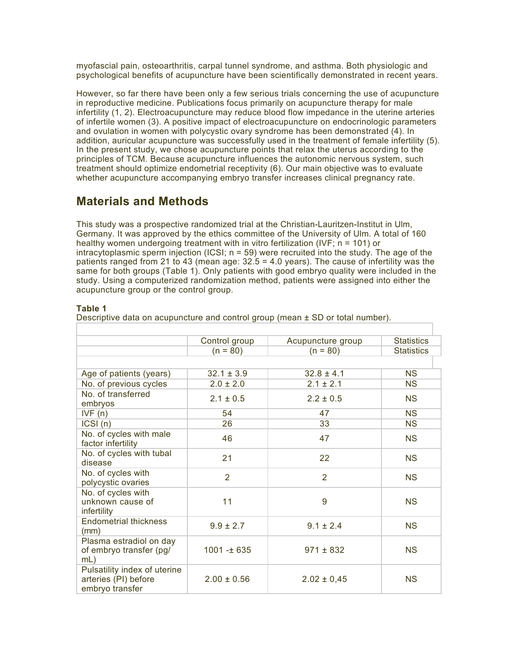myofascial pain, osteoarthritis, carpal tunnel syndrome, and asthma. Both physiologic and psychological benefits of acupuncture have been scientifically demonstrated in recent years.

However, so far there have been only a few serious trials concerning the use of acupuncture in reproductive medicine. Publications focus primarily on acupuncture therapy for male infertility (1, 2). Electroacupuncture may reduce blood flow impedance in the uterine arteries of infertile women (3). A positive impact of electroacupuncture on endocrinologic parameters and ovulation in women with polycystic ovary syndrome has been demonstrated (4). In addition, auricular acupuncture was successfully used in the treatment of female infertility (5). In the present study, we chose acupuncture points that relax the uterus according to the principles of TCM. Because acupuncture influences the autonomic nervous system, such treatment should optimize endometrial receptivity (6). Our main objective was to evaluate whether acupuncture accompanying embryo transfer increases clinical pregnancy rate.

## **Materials and Methods**

This study was a prospective randomized trial at the Christian-Lauritzen-Institut in Ulm, Germany. It was approved by the ethics committee of the University of Ulm. A total of 160 healthy women undergoing treatment with in vitro fertilization (IVF; n = 101) or intracytoplasmic sperm injection (ICSI; n = 59) were recruited into the study. The age of the patients ranged from 21 to 43 (mean age: 32.5 = 4.0 years). The cause of infertility was the same for both groups (Table 1). Only patients with good embryo quality were included in the study. Using a computerized randomization method, patients were assigned into either the acupuncture group or the control group.

#### **Table 1**

Descriptive data on acupuncture and control group (mean  $\pm$  SD or total number).

|                                                                         | Control group    | Acupuncture group | <b>Statistics</b> |
|-------------------------------------------------------------------------|------------------|-------------------|-------------------|
|                                                                         | $(n = 80)$       | $(n = 80)$        | <b>Statistics</b> |
|                                                                         |                  |                   |                   |
| Age of patients (years)                                                 | $32.1 \pm 3.9$   | $32.8 \pm 4.1$    | <b>NS</b>         |
| No. of previous cycles                                                  | $2.0 \pm 2.0$    | $2.1 \pm 2.1$     | <b>NS</b>         |
| No. of transferred<br>embryos                                           | $2.1 \pm 0.5$    | $2.2 \pm 0.5$     | <b>NS</b>         |
| IVF(n)                                                                  | 54               | 47                | <b>NS</b>         |
| ICSI(n)                                                                 | 26               | 33                | <b>NS</b>         |
| No. of cycles with male<br>factor infertility                           | 46               | 47                | <b>NS</b>         |
| No. of cycles with tubal<br>disease                                     | 21               | 22                | <b>NS</b>         |
| No. of cycles with<br>polycystic ovaries                                | $\overline{2}$   | $\overline{2}$    | <b>NS</b>         |
| No. of cycles with<br>unknown cause of<br>infertility                   | 11               | 9                 | <b>NS</b>         |
| <b>Endometrial thickness</b><br>(mm)                                    | $9.9 \pm 2.7$    | $9.1 \pm 2.4$     | <b>NS</b>         |
| Plasma estradiol on day<br>of embryo transfer (pg/<br>mL)               | $1001 - \pm 635$ | $971 \pm 832$     | <b>NS</b>         |
| Pulsatility index of uterine<br>arteries (PI) before<br>embryo transfer | $2.00 \pm 0.56$  | $2.02 \pm 0.45$   | <b>NS</b>         |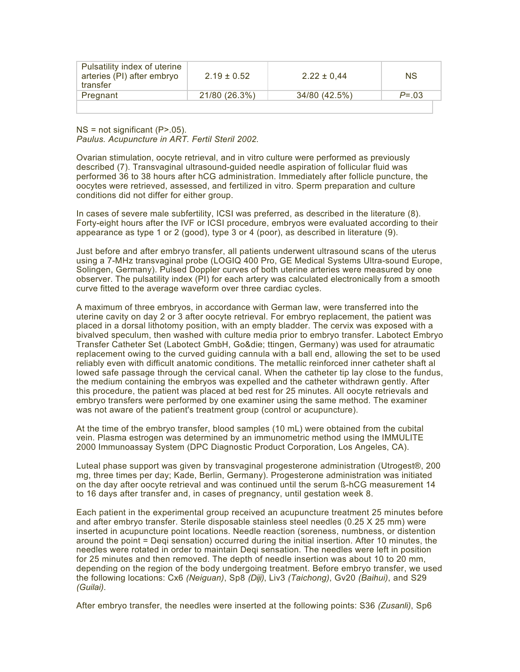| Pulsatility index of uterine<br>arteries (PI) after embryo<br>transfer | $2.19 \pm 0.52$ | $2.22 \pm 0.44$ | <b>NS</b>  |  |
|------------------------------------------------------------------------|-----------------|-----------------|------------|--|
| Pregnant                                                               | 21/80 (26.3%)   | 34/80 (42.5%)   | $P = 0.03$ |  |
|                                                                        |                 |                 |            |  |

 $NS = not significant (P > .05)$ . *Paulus. Acupuncture in ART. Fertil Steril 2002.*

Ovarian stimulation, oocyte retrieval, and in vitro culture were performed as previously described (7). Transvaginal ultrasound-guided needle aspiration of follicular fluid was performed 36 to 38 hours after hCG administration. Immediately after follicle puncture, the oocytes were retrieved, assessed, and fertilized in vitro. Sperm preparation and culture conditions did not differ for either group.

In cases of severe male subfertility, ICSI was preferred, as described in the literature (8). Forty-eight hours after the IVF or ICSI procedure, embryos were evaluated according to their appearance as type 1 or 2 (good), type 3 or 4 (poor), as described in literature (9).

Just before and after embryo transfer, all patients underwent ultrasound scans of the uterus using a 7-MHz transvaginal probe (LOGIQ 400 Pro, GE Medical Systems Ultra-sound Europe, Solingen, Germany). Pulsed Doppler curves of both uterine arteries were measured by one observer. The pulsatility index (PI) for each artery was calculated electronically from a smooth curve fitted to the average waveform over three cardiac cycles.

A maximum of three embryos, in accordance with German law, were transferred into the uterine cavity on day 2 or 3 after oocyte retrieval. For embryo replacement, the patient was placed in a dorsal lithotomy position, with an empty bladder. The cervix was exposed with a bivalved speculum, then washed with culture media prior to embryo transfer. Labotect Embryo Transfer Catheter Set (Labotect GmbH, Go¨ ttingen, Germany) was used for atraumatic replacement owing to the curved guiding cannula with a ball end, allowing the set to be used reliably even with difficult anatomic conditions. The metallic reinforced inner catheter shaft al lowed safe passage through the cervical canal. When the catheter tip lay close to the fundus, the medium containing the embryos was expelled and the catheter withdrawn gently. After this procedure, the patient was placed at bed rest for 25 minutes. All oocyte retrievals and embryo transfers were performed by one examiner using the same method. The examiner was not aware of the patient's treatment group (control or acupuncture).

At the time of the embryo transfer, blood samples (10 mL) were obtained from the cubital vein. Plasma estrogen was determined by an immunometric method using the IMMULITE 2000 Immunoassay System (DPC Diagnostic Product Corporation, Los Angeles, CA).

Luteal phase support was given by transvaginal progesterone administration (Utrogest®, 200 mg, three times per day; Kade, Berlin, Germany). Progesterone administration was initiated on the day after oocyte retrieval and was continued until the serum ß-hCG measurement 14 to 16 days after transfer and, in cases of pregnancy, until gestation week 8.

Each patient in the experimental group received an acupuncture treatment 25 minutes before and after embryo transfer. Sterile disposable stainless steel needles (0.25 X 25 mm) were inserted in acupuncture point locations. Needle reaction (soreness, numbness, or distention around the point = Deqi sensation) occurred during the initial insertion. After 10 minutes, the needles were rotated in order to maintain Deqi sensation. The needles were left in position for 25 minutes and then removed. The depth of needle insertion was about 10 to 20 mm, depending on the region of the body undergoing treatment. Before embryo transfer, we used the following locations: Cx6 *(Neiguan)*, Sp8 *(Diji)*, Liv3 *(Taichong)*, Gv20 *(Baihui)*, and S29 *(Guilai)*.

After embryo transfer, the needles were inserted at the following points: S36 *(Zusanli)*, Sp6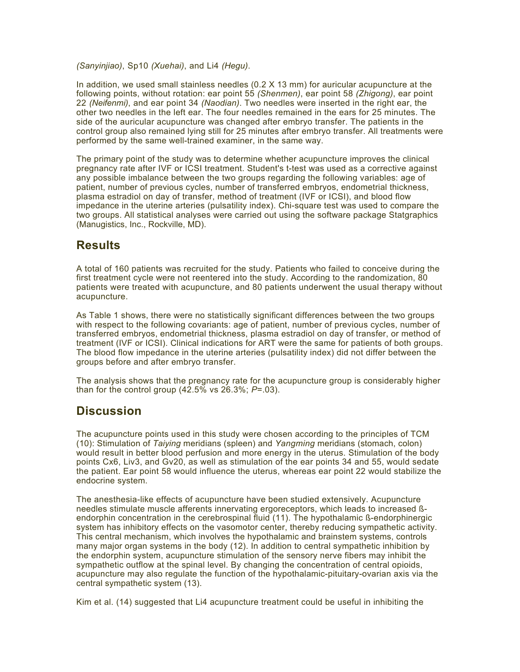*(Sanyinjiao)*, Sp10 *(Xuehai)*, and Li4 *(Hegu)*.

In addition, we used small stainless needles  $(0.2 \times 13 \text{ mm})$  for auricular acupuncture at the following points, without rotation: ear point 55 *(Shenmen)*, ear point 58 *(Zhigong)*, ear point 22 *(Neifenmi)*, and ear point 34 *(Naodian)*. Two needles were inserted in the right ear, the other two needles in the left ear. The four needles remained in the ears for 25 minutes. The side of the auricular acupuncture was changed after embryo transfer. The patients in the control group also remained lying still for 25 minutes after embryo transfer. All treatments were performed by the same well-trained examiner, in the same way.

The primary point of the study was to determine whether acupuncture improves the clinical pregnancy rate after IVF or ICSI treatment. Student's t-test was used as a corrective against any possible imbalance between the two groups regarding the following variables: age of patient, number of previous cycles, number of transferred embryos, endometrial thickness, plasma estradiol on day of transfer, method of treatment (IVF or ICSI), and blood flow impedance in the uterine arteries (pulsatility index). Chi-square test was used to compare the two groups. All statistical analyses were carried out using the software package Statgraphics (Manugistics, Inc., Rockville, MD).

### **Results**

A total of 160 patients was recruited for the study. Patients who failed to conceive during the first treatment cycle were not reentered into the study. According to the randomization, 80 patients were treated with acupuncture, and 80 patients underwent the usual therapy without acupuncture.

As Table 1 shows, there were no statistically significant differences between the two groups with respect to the following covariants: age of patient, number of previous cycles, number of transferred embryos, endometrial thickness, plasma estradiol on day of transfer, or method of treatment (IVF or ICSI). Clinical indications for ART were the same for patients of both groups. The blood flow impedance in the uterine arteries (pulsatility index) did not differ between the groups before and after embryo transfer.

The analysis shows that the pregnancy rate for the acupuncture group is considerably higher than for the control group (42.5% vs 26.3%; *P*=.03).

## **Discussion**

The acupuncture points used in this study were chosen according to the principles of TCM (10): Stimulation of *Taiying* meridians (spleen) and *Yangming* meridians (stomach, colon) would result in better blood perfusion and more energy in the uterus. Stimulation of the body points Cx6, Liv3, and Gv20, as well as stimulation of the ear points 34 and 55, would sedate the patient. Ear point 58 would influence the uterus, whereas ear point 22 would stabilize the endocrine system.

The anesthesia-like effects of acupuncture have been studied extensively. Acupuncture needles stimulate muscle afferents innervating ergoreceptors, which leads to increased ßendorphin concentration in the cerebrospinal fluid (11). The hypothalamic ß-endorphinergic system has inhibitory effects on the vasomotor center, thereby reducing sympathetic activity. This central mechanism, which involves the hypothalamic and brainstem systems, controls many major organ systems in the body (12). In addition to central sympathetic inhibition by the endorphin system, acupuncture stimulation of the sensory nerve fibers may inhibit the sympathetic outflow at the spinal level. By changing the concentration of central opioids, acupuncture may also regulate the function of the hypothalamic-pituitary-ovarian axis via the central sympathetic system (13).

Kim et al. (14) suggested that Li4 acupuncture treatment could be useful in inhibiting the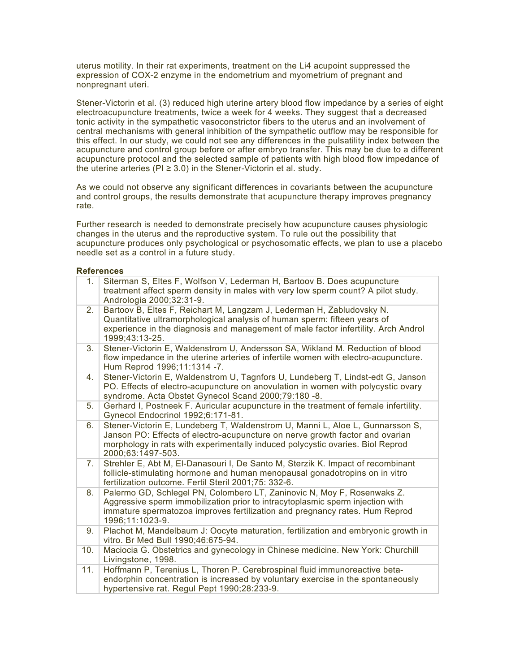uterus motility. In their rat experiments, treatment on the Li4 acupoint suppressed the expression of COX-2 enzyme in the endometrium and myometrium of pregnant and nonpregnant uteri.

Stener-Victorin et al. (3) reduced high uterine artery blood flow impedance by a series of eight electroacupuncture treatments, twice a week for 4 weeks. They suggest that a decreased tonic activity in the sympathetic vasoconstrictor fibers to the uterus and an involvement of central mechanisms with general inhibition of the sympathetic outflow may be responsible for this effect. In our study, we could not see any differences in the pulsatility index between the acupuncture and control group before or after embryo transfer. This may be due to a different acupuncture protocol and the selected sample of patients with high blood flow impedance of the uterine arteries ( $PI \ge 3.0$ ) in the Stener-Victorin et al. study.

As we could not observe any significant differences in covariants between the acupuncture and control groups, the results demonstrate that acupuncture therapy improves pregnancy rate.

Further research is needed to demonstrate precisely how acupuncture causes physiologic changes in the uterus and the reproductive system. To rule out the possibility that acupuncture produces only psychological or psychosomatic effects, we plan to use a placebo needle set as a control in a future study.

#### **References**

| 1.  | Siterman S, Eltes F, Wolfson V, Lederman H, Bartoov B. Does acupuncture<br>treatment affect sperm density in males with very low sperm count? A pilot study.<br>Andrologia 2000;32:31-9.                                                                             |
|-----|----------------------------------------------------------------------------------------------------------------------------------------------------------------------------------------------------------------------------------------------------------------------|
| 2.  | Bartoov B, Eltes F, Reichart M, Langzam J, Lederman H, Zabludovsky N.<br>Quantitative ultramorphological analysis of human sperm: fifteen years of<br>experience in the diagnosis and management of male factor infertility. Arch Androl<br>1999;43:13-25.           |
| 3.  | Stener-Victorin E, Waldenstrom U, Andersson SA, Wikland M. Reduction of blood<br>flow impedance in the uterine arteries of infertile women with electro-acupuncture.<br>Hum Reprod 1996;11:1314 -7.                                                                  |
| 4.  | Stener-Victorin E, Waldenstrom U, Tagnfors U, Lundeberg T, Lindst-edt G, Janson<br>PO. Effects of electro-acupuncture on anovulation in women with polycystic ovary<br>syndrome. Acta Obstet Gynecol Scand 2000;79:180 -8.                                           |
| 5.  | Gerhard I, Postneek F. Auricular acupuncture in the treatment of female infertility.<br>Gynecol Endocrinol 1992;6:171-81.                                                                                                                                            |
| 6.  | Stener-Victorin E, Lundeberg T, Waldenstrom U, Manni L, Aloe L, Gunnarsson S,<br>Janson PO: Effects of electro-acupuncture on nerve growth factor and ovarian<br>morphology in rats with experimentally induced polycystic ovaries. Biol Reprod<br>2000;63:1497-503. |
| 7.  | Strehler E, Abt M, El-Danasouri I, De Santo M, Sterzik K. Impact of recombinant<br>follicle-stimulating hormone and human menopausal gonadotropins on in vitro<br>fertilization outcome. Fertil Steril 2001;75: 332-6.                                               |
| 8.  | Palermo GD, Schlegel PN, Colombero LT, Zaninovic N, Moy F, Rosenwaks Z.<br>Aggressive sperm immobilization prior to intracytoplasmic sperm injection with<br>immature spermatozoa improves fertilization and pregnancy rates. Hum Reprod<br>1996;11:1023-9.          |
| 9.  | Plachot M, Mandelbaum J: Oocyte maturation, fertilization and embryonic growth in<br>vitro. Br Med Bull 1990;46:675-94.                                                                                                                                              |
| 10. | Maciocia G. Obstetrics and gynecology in Chinese medicine. New York: Churchill<br>Livingstone, 1998.                                                                                                                                                                 |
| 11. | Hoffmann P, Terenius L, Thoren P. Cerebrospinal fluid immunoreactive beta-<br>endorphin concentration is increased by voluntary exercise in the spontaneously<br>hypertensive rat. Regul Pept 1990;28:233-9.                                                         |